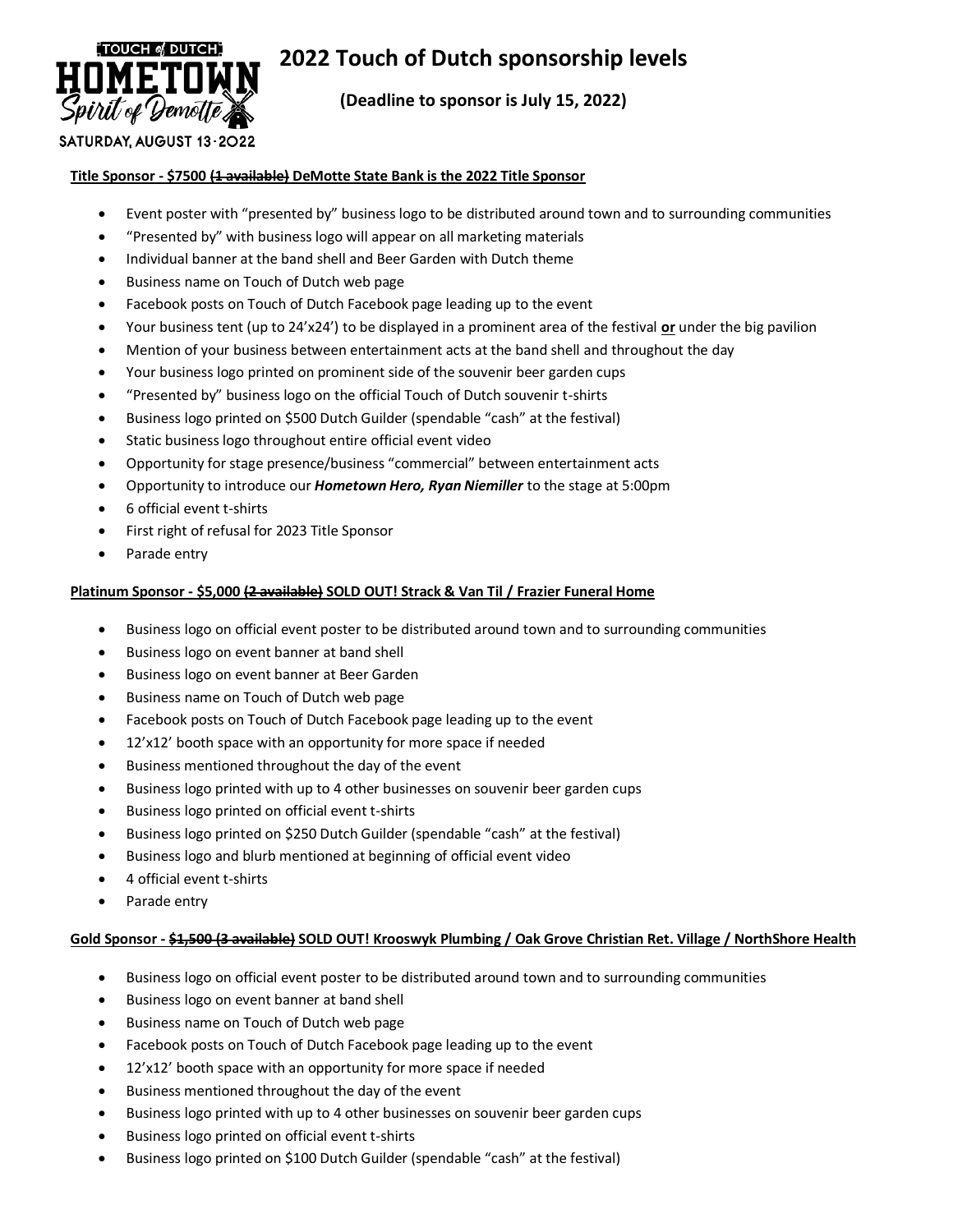

# **2022 Touch of Dutch sponsorship levels**

**(Deadline to sponsor is July 15, 2022)**

# SATURDAY, AUGUST 13-2022

# **Title Sponsor - \$7500 (1 available) DeMotte State Bank is the 2022 Title Sponsor**

- Event poster with "presented by" business logo to be distributed around town and to surrounding communities
- "Presented by" with business logo will appear on all marketing materials
- Individual banner at the band shell and Beer Garden with Dutch theme
- Business name on Touch of Dutch web page
- Facebook posts on Touch of Dutch Facebook page leading up to the event
- Your business tent (up to 24'x24') to be displayed in a prominent area of the festival **or** under the big pavilion
- Mention of your business between entertainment acts at the band shell and throughout the day
- Your business logo printed on prominent side of the souvenir beer garden cups
- "Presented by" business logo on the official Touch of Dutch souvenir t-shirts
- Business logo printed on \$500 Dutch Guilder (spendable "cash" at the festival)
- Static business logo throughout entire official event video
- Opportunity for stage presence/business "commercial" between entertainment acts
- Opportunity to introduce our *Hometown Hero, Ryan Niemiller* to the stage at 5:00pm
- 6 official event t-shirts
- First right of refusal for 2023 Title Sponsor
- Parade entry

# **Platinum Sponsor - \$5,000 (2 available) SOLD OUT! Strack & Van Til / Frazier Funeral Home**

- Business logo on official event poster to be distributed around town and to surrounding communities
- Business logo on event banner at band shell
- Business logo on event banner at Beer Garden
- Business name on Touch of Dutch web page
- Facebook posts on Touch of Dutch Facebook page leading up to the event
- 12'x12' booth space with an opportunity for more space if needed
- Business mentioned throughout the day of the event
- Business logo printed with up to 4 other businesses on souvenir beer garden cups
- Business logo printed on official event t-shirts
- Business logo printed on \$250 Dutch Guilder (spendable "cash" at the festival)
- Business logo and blurb mentioned at beginning of official event video
- 4 official event t-shirts
- Parade entry

#### **Gold Sponsor - \$1,500 (3 available) SOLD OUT! Krooswyk Plumbing / Oak Grove Christian Ret. Village / NorthShore Health**

- Business logo on official event poster to be distributed around town and to surrounding communities
- Business logo on event banner at band shell
- Business name on Touch of Dutch web page
- Facebook posts on Touch of Dutch Facebook page leading up to the event
- 12'x12' booth space with an opportunity for more space if needed
- Business mentioned throughout the day of the event
- Business logo printed with up to 4 other businesses on souvenir beer garden cups
- Business logo printed on official event t-shirts
- Business logo printed on \$100 Dutch Guilder (spendable "cash" at the festival)